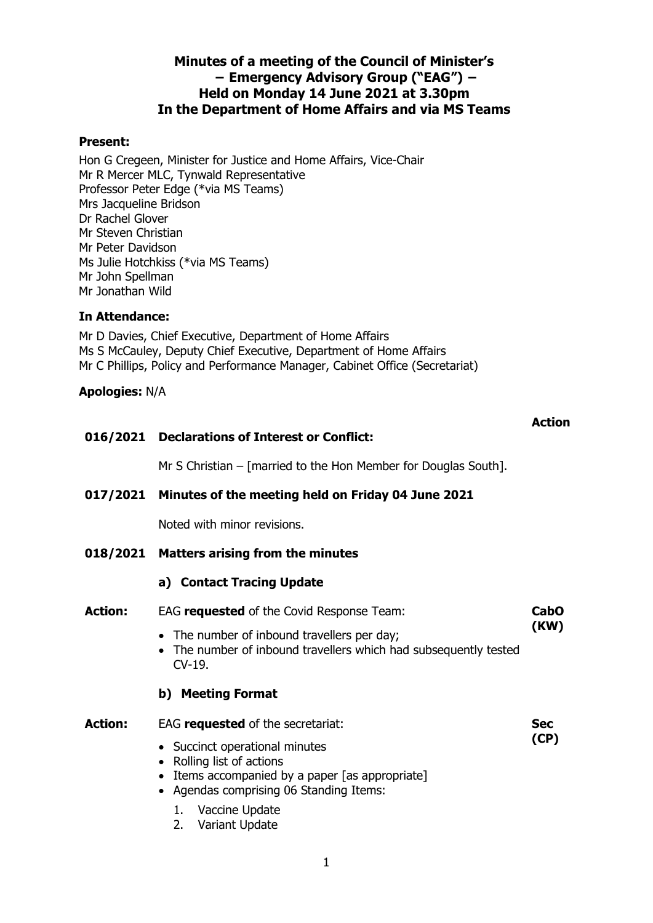# **Minutes of a meeting of the Council of Minister's − Emergency Advisory Group ("EAG") − Held on Monday 14 June 2021 at 3.30pm In the Department of Home Affairs and via MS Teams**

### **Present:**

Hon G Cregeen, Minister for Justice and Home Affairs, Vice-Chair Mr R Mercer MLC, Tynwald Representative Professor Peter Edge (\*via MS Teams) Mrs Jacqueline Bridson Dr Rachel Glover Mr Steven Christian Mr Peter Davidson Ms Julie Hotchkiss (\*via MS Teams) Mr John Spellman Mr Jonathan Wild

### **In Attendance:**

Mr D Davies, Chief Executive, Department of Home Affairs Ms S McCauley, Deputy Chief Executive, Department of Home Affairs Mr C Phillips, Policy and Performance Manager, Cabinet Office (Secretariat)

### **Apologies:** N/A

|                | 016/2021 Declarations of Interest or Conflict:                                                                                                                     |             |
|----------------|--------------------------------------------------------------------------------------------------------------------------------------------------------------------|-------------|
|                | Mr S Christian – [married to the Hon Member for Douglas South].                                                                                                    |             |
|                | 017/2021 Minutes of the meeting held on Friday 04 June 2021                                                                                                        |             |
|                | Noted with minor revisions.                                                                                                                                        |             |
|                | 018/2021 Matters arising from the minutes                                                                                                                          |             |
|                | a) Contact Tracing Update                                                                                                                                          |             |
| <b>Action:</b> | EAG requested of the Covid Response Team:                                                                                                                          | <b>CabO</b> |
|                | • The number of inbound travellers per day;<br>• The number of inbound travellers which had subsequently tested<br>$CV-19$ .                                       | (KW)        |
|                | b) Meeting Format                                                                                                                                                  |             |
| <b>Action:</b> | EAG requested of the secretariat:                                                                                                                                  | <b>Sec</b>  |
|                | • Succinct operational minutes<br>Rolling list of actions<br>Items accompanied by a paper [as appropriate]<br>$\bullet$<br>• Agendas comprising 06 Standing Items: | (CP)        |
|                | 1. Vaccine Update<br>Variant Update<br>2.                                                                                                                          |             |

**Action**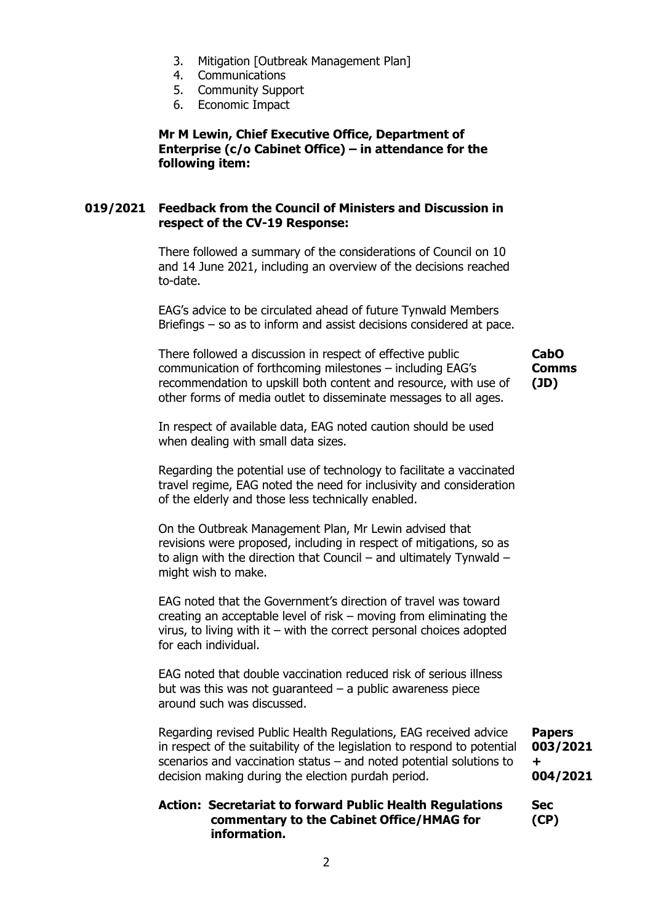- 3. Mitigation [Outbreak Management Plan]
- 4. Communications
- 5. Community Support
- 6. Economic Impact

**Mr M Lewin, Chief Executive Office, Department of Enterprise (c/o Cabinet Office) – in attendance for the following item:**

### **019/2021 Feedback from the Council of Ministers and Discussion in respect of the CV-19 Response:**

There followed a summary of the considerations of Council on 10 and 14 June 2021, including an overview of the decisions reached to-date.

EAG's advice to be circulated ahead of future Tynwald Members Briefings – so as to inform and assist decisions considered at pace.

There followed a discussion in respect of effective public communication of forthcoming milestones – including EAG's recommendation to upskill both content and resource, with use of other forms of media outlet to disseminate messages to all ages.

**CabO Comms (JD)**

In respect of available data, EAG noted caution should be used when dealing with small data sizes.

Regarding the potential use of technology to facilitate a vaccinated travel regime, EAG noted the need for inclusivity and consideration of the elderly and those less technically enabled.

On the Outbreak Management Plan, Mr Lewin advised that revisions were proposed, including in respect of mitigations, so as to align with the direction that Council – and ultimately Tynwald – might wish to make.

EAG noted that the Government's direction of travel was toward creating an acceptable level of risk – moving from eliminating the virus, to living with it – with the correct personal choices adopted for each individual.

EAG noted that double vaccination reduced risk of serious illness but was this was not guaranteed  $-$  a public awareness piece around such was discussed.

Regarding revised Public Health Regulations, EAG received advice in respect of the suitability of the legislation to respond to potential scenarios and vaccination status – and noted potential solutions to decision making during the election purdah period.

**Papers 003/2021 + 004/2021**

**Sec (CP)**

### **Action: Secretariat to forward Public Health Regulations commentary to the Cabinet Office/HMAG for information.**